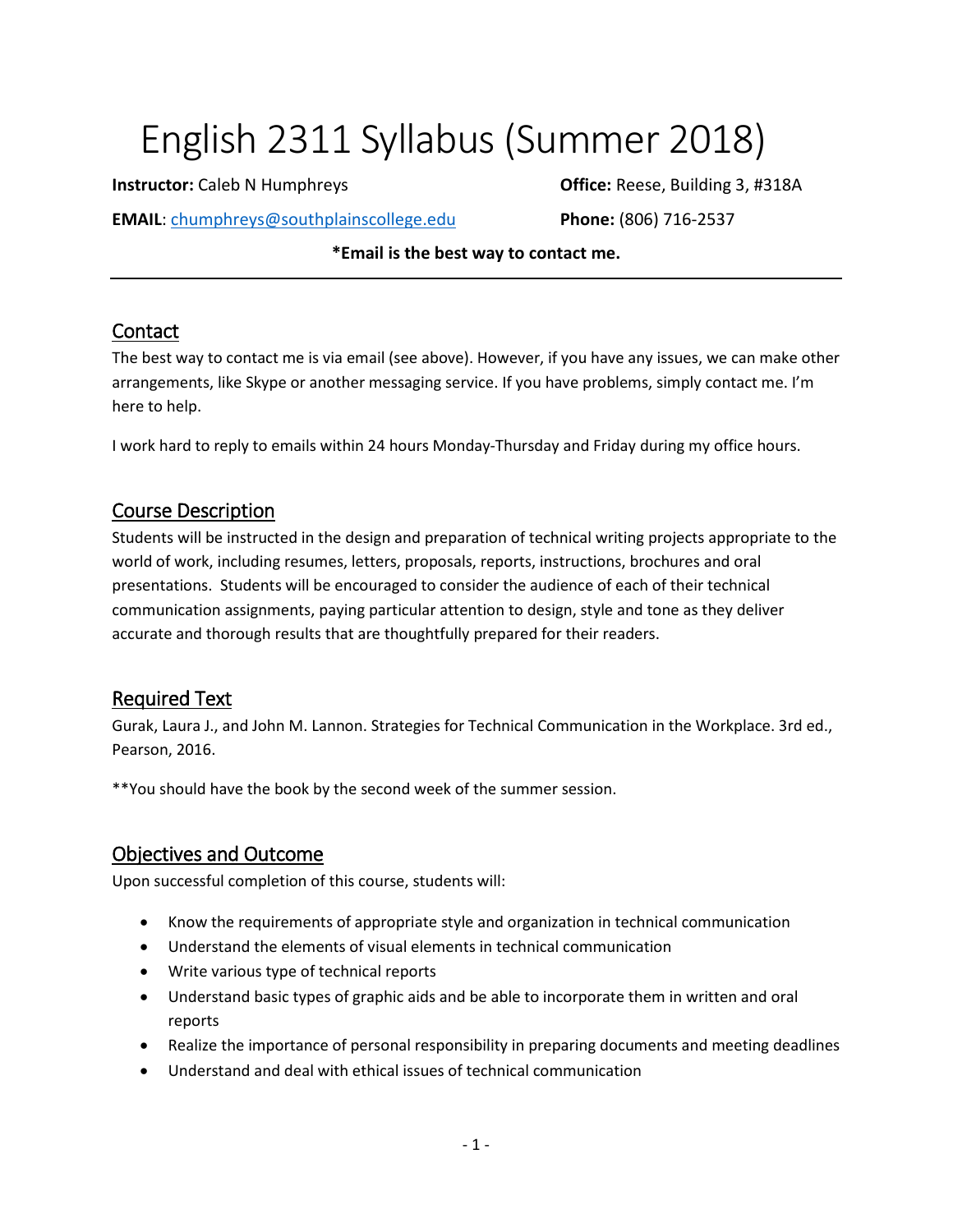# English 2311 Syllabus (Summer 2018)

**EMAIL**: [chumphreys@southplainscollege.edu](mailto:chumphreys@southplainscollege.edu) **Phone:** (806) 716-2537

**Instructor:** Caleb N Humphreys **Caleb 1 All 2018 Office:** Reese, Building 3, #318A

**\*Email is the best way to contact me.**

#### Contact

The best way to contact me is via email (see above). However, if you have any issues, we can make other arrangements, like Skype or another messaging service. If you have problems, simply contact me. I'm here to help.

I work hard to reply to emails within 24 hours Monday-Thursday and Friday during my office hours.

#### Course Description

Students will be instructed in the design and preparation of technical writing projects appropriate to the world of work, including resumes, letters, proposals, reports, instructions, brochures and oral presentations. Students will be encouraged to consider the audience of each of their technical communication assignments, paying particular attention to design, style and tone as they deliver accurate and thorough results that are thoughtfully prepared for their readers.

## Required Text

Gurak, Laura J., and John M. Lannon. Strategies for Technical Communication in the Workplace. 3rd ed., Pearson, 2016.

\*\*You should have the book by the second week of the summer session.

## Objectives and Outcome

Upon successful completion of this course, students will:

- Know the requirements of appropriate style and organization in technical communication
- Understand the elements of visual elements in technical communication
- Write various type of technical reports
- Understand basic types of graphic aids and be able to incorporate them in written and oral reports
- Realize the importance of personal responsibility in preparing documents and meeting deadlines
- Understand and deal with ethical issues of technical communication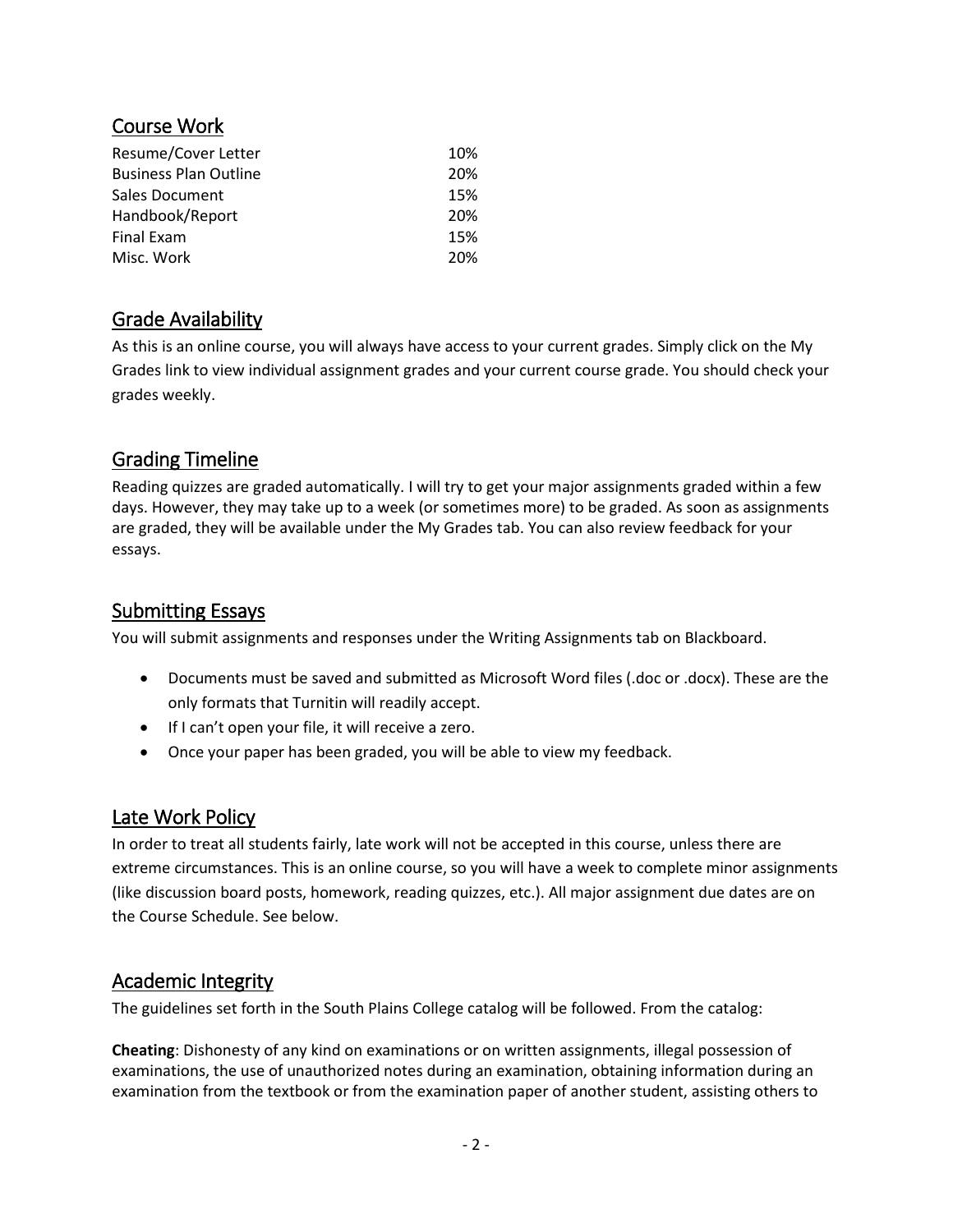#### Course Work

| Resume/Cover Letter          | 10% |
|------------------------------|-----|
| <b>Business Plan Outline</b> | 20% |
| <b>Sales Document</b>        | 15% |
| Handbook/Report              | 20% |
| Final Exam                   | 15% |
| Misc. Work                   | 20% |

# Grade Availability

As this is an online course, you will always have access to your current grades. Simply click on the My Grades link to view individual assignment grades and your current course grade. You should check your grades weekly.

# Grading Timeline

Reading quizzes are graded automatically. I will try to get your major assignments graded within a few days. However, they may take up to a week (or sometimes more) to be graded. As soon as assignments are graded, they will be available under the My Grades tab. You can also review feedback for your essays.

## Submitting Essays

You will submit assignments and responses under the Writing Assignments tab on Blackboard.

- Documents must be saved and submitted as Microsoft Word files (.doc or .docx). These are the only formats that Turnitin will readily accept.
- If I can't open your file, it will receive a zero.
- Once your paper has been graded, you will be able to view my feedback.

#### Late Work Policy

In order to treat all students fairly, late work will not be accepted in this course, unless there are extreme circumstances. This is an online course, so you will have a week to complete minor assignments (like discussion board posts, homework, reading quizzes, etc.). All major assignment due dates are on the Course Schedule. See below.

## Academic Integrity

The guidelines set forth in the South Plains College catalog will be followed. From the catalog:

**Cheating**: Dishonesty of any kind on examinations or on written assignments, illegal possession of examinations, the use of unauthorized notes during an examination, obtaining information during an examination from the textbook or from the examination paper of another student, assisting others to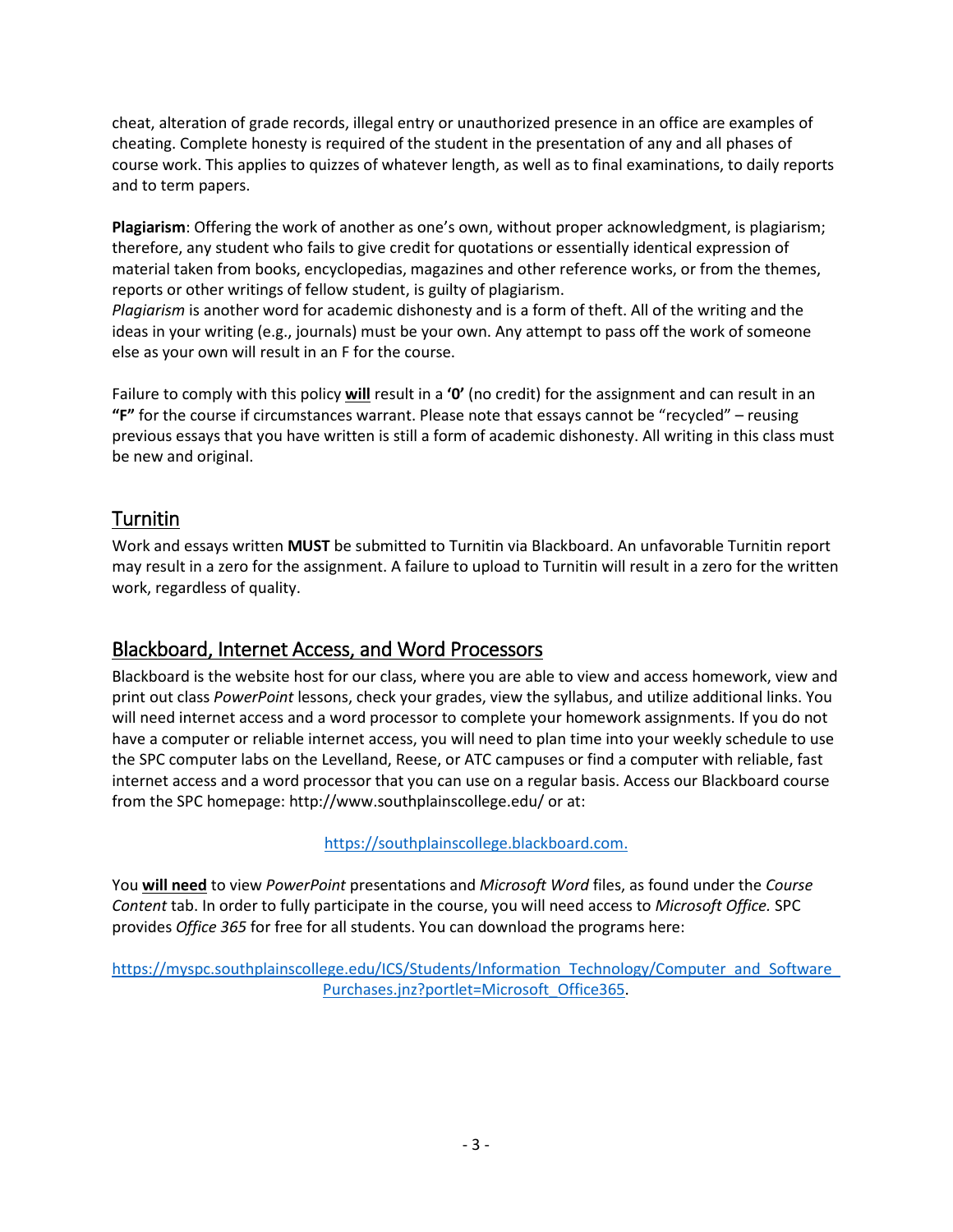cheat, alteration of grade records, illegal entry or unauthorized presence in an office are examples of cheating. Complete honesty is required of the student in the presentation of any and all phases of course work. This applies to quizzes of whatever length, as well as to final examinations, to daily reports and to term papers.

**Plagiarism**: Offering the work of another as one's own, without proper acknowledgment, is plagiarism; therefore, any student who fails to give credit for quotations or essentially identical expression of material taken from books, encyclopedias, magazines and other reference works, or from the themes, reports or other writings of fellow student, is guilty of plagiarism.

*Plagiarism* is another word for academic dishonesty and is a form of theft. All of the writing and the ideas in your writing (e.g., journals) must be your own. Any attempt to pass off the work of someone else as your own will result in an F for the course.

Failure to comply with this policy **will** result in a **'0'** (no credit) for the assignment and can result in an **"F"** for the course if circumstances warrant. Please note that essays cannot be "recycled" – reusing previous essays that you have written is still a form of academic dishonesty. All writing in this class must be new and original.

# Turnitin

Work and essays written **MUST** be submitted to Turnitin via Blackboard. An unfavorable Turnitin report may result in a zero for the assignment. A failure to upload to Turnitin will result in a zero for the written work, regardless of quality.

# Blackboard, Internet Access, and Word Processors

Blackboard is the website host for our class, where you are able to view and access homework, view and print out class *PowerPoint* lessons, check your grades, view the syllabus, and utilize additional links. You will need internet access and a word processor to complete your homework assignments. If you do not have a computer or reliable internet access, you will need to plan time into your weekly schedule to use the SPC computer labs on the Levelland, Reese, or ATC campuses or find a computer with reliable, fast internet access and a word processor that you can use on a regular basis. Access our Blackboard course from the SPC homepage: http://www.southplainscollege.edu/ or at:

[https://southplainscollege.blackboard.com.](https://southplainscollege.blackboard.com/)

You **will need** to view *PowerPoint* presentations and *Microsoft Word* files, as found under the *Course Content* tab. In order to fully participate in the course, you will need access to *Microsoft Office.* SPC provides *Office 365* for free for all students. You can download the programs here:

https://myspc.southplainscollege.edu/ICS/Students/Information\_Technology/Computer\_and\_Software [Purchases.jnz?portlet=Microsoft\\_Office365.](https://myspc.southplainscollege.edu/ICS/Students/Information_Technology/Computer_and_Software_Purchases.jnz?portlet=Microsoft_Office365)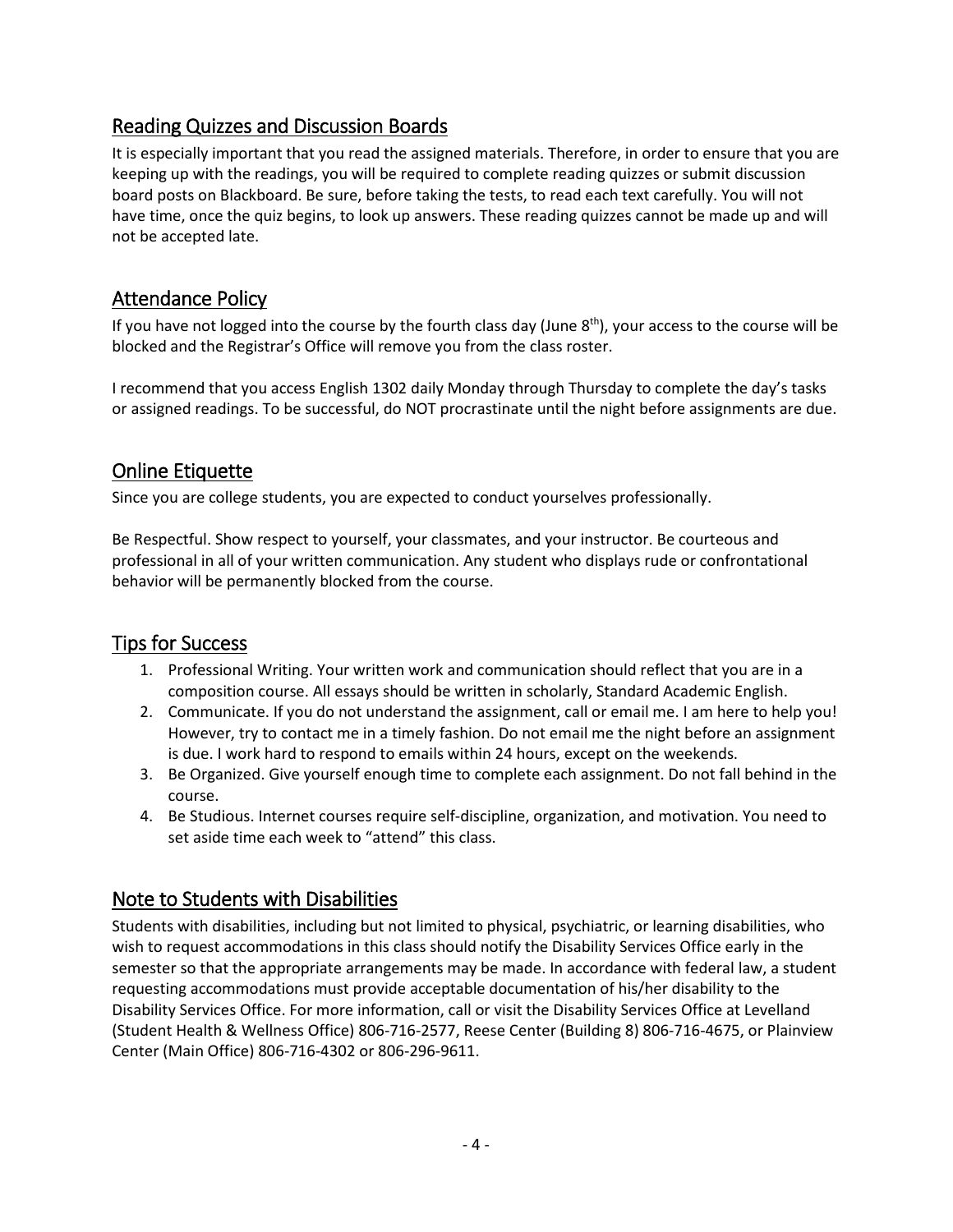## Reading Quizzes and Discussion Boards

It is especially important that you read the assigned materials. Therefore, in order to ensure that you are keeping up with the readings, you will be required to complete reading quizzes or submit discussion board posts on Blackboard. Be sure, before taking the tests, to read each text carefully. You will not have time, once the quiz begins, to look up answers. These reading quizzes cannot be made up and will not be accepted late.

# Attendance Policy

If you have not logged into the course by the fourth class day (June  $8<sup>th</sup>$ ), your access to the course will be blocked and the Registrar's Office will remove you from the class roster.

I recommend that you access English 1302 daily Monday through Thursday to complete the day's tasks or assigned readings. To be successful, do NOT procrastinate until the night before assignments are due.

## Online Etiquette

Since you are college students, you are expected to conduct yourselves professionally.

Be Respectful. Show respect to yourself, your classmates, and your instructor. Be courteous and professional in all of your written communication. Any student who displays rude or confrontational behavior will be permanently blocked from the course.

# Tips for Success

- 1. Professional Writing. Your written work and communication should reflect that you are in a composition course. All essays should be written in scholarly, Standard Academic English.
- 2. Communicate. If you do not understand the assignment, call or email me. I am here to help you! However, try to contact me in a timely fashion. Do not email me the night before an assignment is due. I work hard to respond to emails within 24 hours, except on the weekends.
- 3. Be Organized. Give yourself enough time to complete each assignment. Do not fall behind in the course.
- 4. Be Studious. Internet courses require self-discipline, organization, and motivation. You need to set aside time each week to "attend" this class.

## Note to Students with Disabilities

Students with disabilities, including but not limited to physical, psychiatric, or learning disabilities, who wish to request accommodations in this class should notify the Disability Services Office early in the semester so that the appropriate arrangements may be made. In accordance with federal law, a student requesting accommodations must provide acceptable documentation of his/her disability to the Disability Services Office. For more information, call or visit the Disability Services Office at Levelland (Student Health & Wellness Office) 806-716-2577, Reese Center (Building 8) 806-716-4675, or Plainview Center (Main Office) 806-716-4302 or 806-296-9611.